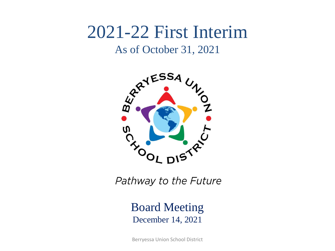# 2021-22 First Interim

#### As of October 31, 2021



Pathway to the Future

Board Meeting December 14, 2021

Berryessa Union School District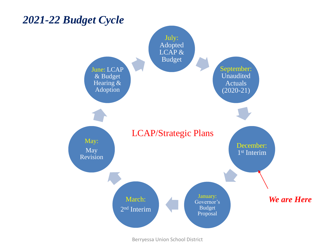

Berryessa Union School District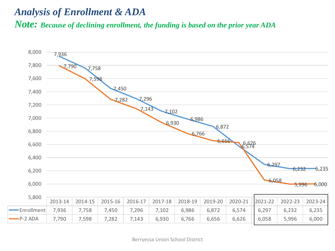#### *Analysis of Enrollment & ADA Note: Because of declining enrollment, the funding is based on the prior year ADA*

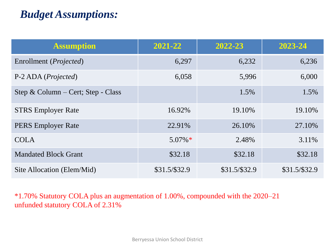## *Budget Assumptions:*

| <b>Assumption</b>                  | 2021-22       | 2022-23        | 2023-24        |
|------------------------------------|---------------|----------------|----------------|
| Enrollment ( <i>Projected</i> )    | 6,297         | 6,232          | 6,236          |
| P-2 ADA ( <i>Projected</i> )       | 6,058         | 5,996          | 6,000          |
| Step & Column – Cert; Step - Class |               | 1.5%           | 1.5%           |
| <b>STRS</b> Employer Rate          | 16.92%        | 19.10%         | 19.10%         |
| <b>PERS</b> Employer Rate          | 22.91%        | 26.10%         | 27.10%         |
| <b>COLA</b>                        | $5.07\%*$     | 2.48%          | 3.11%          |
| <b>Mandated Block Grant</b>        | \$32.18       | \$32.18        | \$32.18        |
| Site Allocation (Elem/Mid)         | \$31.5/\$32.9 | $$31.5/\$32.9$ | $$31.5/\$32.9$ |

\*1.70% Statutory COLA plus an augmentation of 1.00%, compounded with the 2020–21 unfunded statutory COLA of 2.31%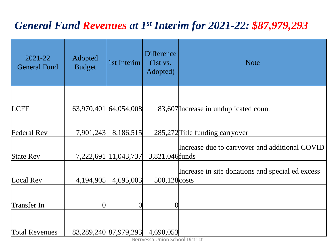## *General Fund Revenues at 1st Interim for 2021-22: \$87,979,293*

|                                                                                    | <b>Note</b>                                                                                                                                                      |
|------------------------------------------------------------------------------------|------------------------------------------------------------------------------------------------------------------------------------------------------------------|
|                                                                                    | 83,607 Increase in unduplicated count                                                                                                                            |
|                                                                                    | 285,272 Title funding carryover                                                                                                                                  |
|                                                                                    | Increase due to carryover and additional COVID<br>3,821,046 funds                                                                                                |
|                                                                                    | Increase in site donations and special ed excess<br>500,128 costs                                                                                                |
|                                                                                    |                                                                                                                                                                  |
|                                                                                    |                                                                                                                                                                  |
| Adopted<br><b>Budget</b><br>63,970,401<br>7,901,243<br>7,222,691<br>4,194,905<br>0 | <b>Difference</b><br>1st Interim<br>(1st vs.<br>Adopted)<br>64,054,008<br>8,186,515<br>11,043,737<br>4,695,003<br>$\Omega$<br>83,289,240 87,979,293<br>4,690,053 |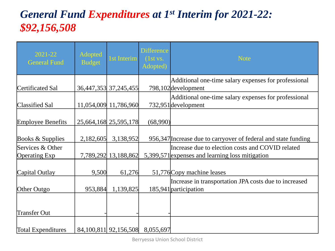## *General Fund Expenditures at 1st Interim for 2021-22: \$92,156,508*

| $2021 - 22$<br><b>General Fund</b>       | Adopted<br><b>Budget</b> | 1st Interim               | <b>Difference</b><br>(1st vs.<br>Adopted) | <b>Note</b>                                                                                         |
|------------------------------------------|--------------------------|---------------------------|-------------------------------------------|-----------------------------------------------------------------------------------------------------|
| Certificated Sal                         |                          | 36,447,353 37,245,455     |                                           | Additional one-time salary expenses for professional<br>798,102 development                         |
| Classified Sal                           |                          | 11,054,009 11,786,960     |                                           | Additional one-time salary expenses for professional<br>732,951 development                         |
| <b>Employee Benefits</b>                 |                          | 25,664,168 25,595,178     | (68,990)                                  |                                                                                                     |
| Books & Supplies                         | 2,182,605                | 3,138,952                 |                                           | 956,347 Increase due to carryover of federal and state funding                                      |
| Services & Other<br><b>Operating Exp</b> |                          | 7,789,292 13,188,862      |                                           | Increase due to election costs and COVID related<br>5,399,571 expenses and learning loss mitigation |
| Capital Outlay                           | 9,500                    | 61,276                    |                                           | 51,776 Copy machine leases                                                                          |
| Other Outgo                              | 953,884                  | 1,139,825                 |                                           | Increase in transportation JPA costs due to increased<br>185,941 participation                      |
| Transfer Out                             |                          |                           |                                           |                                                                                                     |
| <b>Total Expenditures</b>                |                          | 84, 100, 811 92, 156, 508 | 8,055,697                                 |                                                                                                     |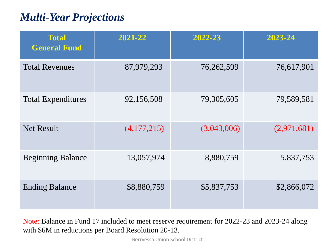## *Multi-Year Projections*

| <b>Total</b><br><b>General Fund</b> | 2021-22     | 2022-23     | 2023-24     |
|-------------------------------------|-------------|-------------|-------------|
| <b>Total Revenues</b>               | 87,979,293  | 76,262,599  | 76,617,901  |
| <b>Total Expenditures</b>           | 92,156,508  | 79,305,605  | 79,589,581  |
| <b>Net Result</b>                   | (4,177,215) | (3,043,006) | (2,971,681) |
| <b>Beginning Balance</b>            | 13,057,974  | 8,880,759   | 5,837,753   |
| <b>Ending Balance</b>               | \$8,880,759 | \$5,837,753 | \$2,866,072 |

Note: Balance in Fund 17 included to meet reserve requirement for 2022-23 and 2023-24 along with \$6M in reductions per Board Resolution 20-13.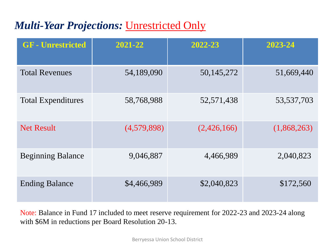## *Multi-Year Projections:* Unrestricted Only

| <b>GF</b> - Unrestricted  | 2021-22     | 2022-23     | 2023-24      |
|---------------------------|-------------|-------------|--------------|
| <b>Total Revenues</b>     | 54,189,090  | 50,145,272  | 51,669,440   |
| <b>Total Expenditures</b> | 58,768,988  | 52,571,438  | 53, 537, 703 |
| <b>Net Result</b>         | (4,579,898) | (2,426,166) | (1,868,263)  |
| <b>Beginning Balance</b>  | 9,046,887   | 4,466,989   | 2,040,823    |
| <b>Ending Balance</b>     | \$4,466,989 | \$2,040,823 | \$172,560    |

Note: Balance in Fund 17 included to meet reserve requirement for 2022-23 and 2023-24 along with \$6M in reductions per Board Resolution 20-13.